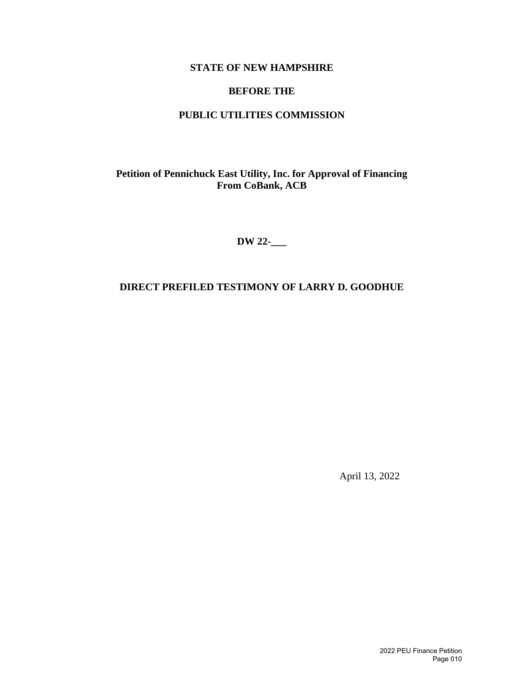## **STATE OF NEW HAMPSHIRE**

## **BEFORE THE**

## **PUBLIC UTILITIES COMMISSION**

**Petition of Pennichuck East Utility, Inc. for Approval of Financing From CoBank, ACB**

**DW 22-\_\_\_**

## **DIRECT PREFILED TESTIMONY OF LARRY D. GOODHUE**

April 13, 2022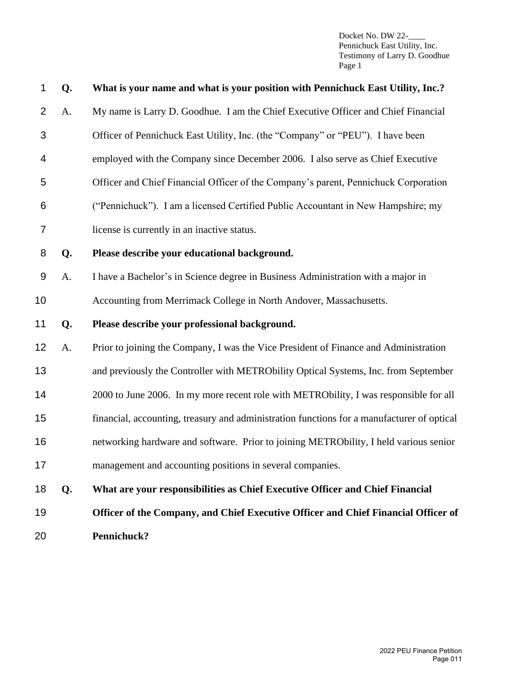| 1              | Q. | What is your name and what is your position with Pennichuck East Utility, Inc.?            |
|----------------|----|--------------------------------------------------------------------------------------------|
| $\overline{2}$ | A. | My name is Larry D. Goodhue. I am the Chief Executive Officer and Chief Financial          |
| 3              |    | Officer of Pennichuck East Utility, Inc. (the "Company" or "PEU"). I have been             |
| 4              |    | employed with the Company since December 2006. I also serve as Chief Executive             |
| 5              |    | Officer and Chief Financial Officer of the Company's parent, Pennichuck Corporation        |
| 6              |    | ("Pennichuck"). I am a licensed Certified Public Accountant in New Hampshire; my           |
| 7              |    | license is currently in an inactive status.                                                |
| 8              | Q. | Please describe your educational background.                                               |
| 9              | A. | I have a Bachelor's in Science degree in Business Administration with a major in           |
| 10             |    | Accounting from Merrimack College in North Andover, Massachusetts.                         |
| 11             | Q. | Please describe your professional background.                                              |
| 12             | A. | Prior to joining the Company, I was the Vice President of Finance and Administration       |
| 13             |    | and previously the Controller with METRObility Optical Systems, Inc. from September        |
| 14             |    | 2000 to June 2006. In my more recent role with METRObility, I was responsible for all      |
| 15             |    | financial, accounting, treasury and administration functions for a manufacturer of optical |
| 16             |    | networking hardware and software. Prior to joining METRObility, I held various senior      |
| 17             |    | management and accounting positions in several companies.                                  |
| 18             | Q. | What are your responsibilities as Chief Executive Officer and Chief Financial              |
| 19             |    | Officer of the Company, and Chief Executive Officer and Chief Financial Officer of         |
| 20             |    | Pennichuck?                                                                                |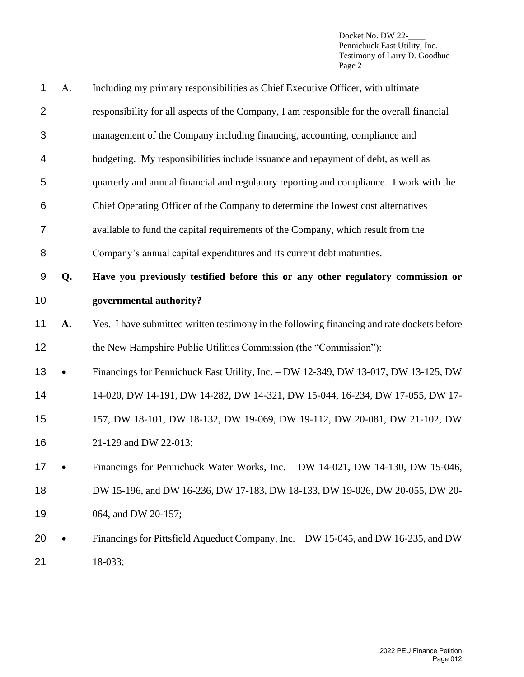| 1              | A. | Including my primary responsibilities as Chief Executive Officer, with ultimate            |
|----------------|----|--------------------------------------------------------------------------------------------|
| $\overline{2}$ |    | responsibility for all aspects of the Company, I am responsible for the overall financial  |
| 3              |    | management of the Company including financing, accounting, compliance and                  |
| 4              |    | budgeting. My responsibilities include issuance and repayment of debt, as well as          |
| 5              |    | quarterly and annual financial and regulatory reporting and compliance. I work with the    |
| 6              |    | Chief Operating Officer of the Company to determine the lowest cost alternatives           |
| 7              |    | available to fund the capital requirements of the Company, which result from the           |
| 8              |    | Company's annual capital expenditures and its current debt maturities.                     |
| 9              | Q. | Have you previously testified before this or any other regulatory commission or            |
| 10             |    | governmental authority?                                                                    |
| 11             | A. | Yes. I have submitted written testimony in the following financing and rate dockets before |
| 12             |    | the New Hampshire Public Utilities Commission (the "Commission"):                          |
| 13             |    | Financings for Pennichuck East Utility, Inc. - DW 12-349, DW 13-017, DW 13-125, DW         |
| 14             |    | 14-020, DW 14-191, DW 14-282, DW 14-321, DW 15-044, 16-234, DW 17-055, DW 17-              |
| 15             |    | 157, DW 18-101, DW 18-132, DW 19-069, DW 19-112, DW 20-081, DW 21-102, DW                  |
| 16             |    | 21-129 and DW 22-013;                                                                      |
| 17             |    | Financings for Pennichuck Water Works, Inc. - DW 14-021, DW 14-130, DW 15-046,             |
| 18             |    | DW 15-196, and DW 16-236, DW 17-183, DW 18-133, DW 19-026, DW 20-055, DW 20-               |
| 19             |    | 064, and DW 20-157;                                                                        |
| 20             |    | Financings for Pittsfield Aqueduct Company, Inc. - DW 15-045, and DW 16-235, and DW        |
|                |    |                                                                                            |

18-033;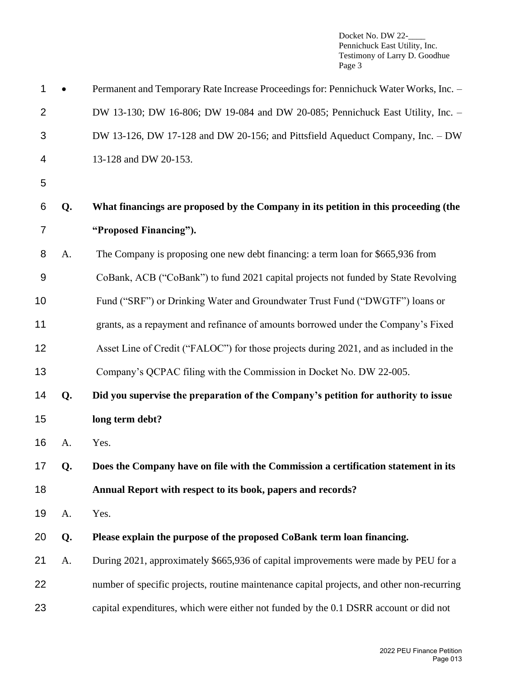| $\mathbf 1$     |    | Permanent and Temporary Rate Increase Proceedings for: Pennichuck Water Works, Inc. -      |
|-----------------|----|--------------------------------------------------------------------------------------------|
| $\overline{2}$  |    | DW 13-130; DW 16-806; DW 19-084 and DW 20-085; Pennichuck East Utility, Inc. -             |
| 3               |    | DW 13-126, DW 17-128 and DW 20-156; and Pittsfield Aqueduct Company, Inc. - DW             |
| 4               |    | 13-128 and DW 20-153.                                                                      |
| 5               |    |                                                                                            |
| 6               | Q. | What financings are proposed by the Company in its petition in this proceeding (the        |
| 7               |    | "Proposed Financing").                                                                     |
| 8               | A. | The Company is proposing one new debt financing: a term loan for \$665,936 from            |
| 9               |    | CoBank, ACB ("CoBank") to fund 2021 capital projects not funded by State Revolving         |
| 10              |    | Fund ("SRF") or Drinking Water and Groundwater Trust Fund ("DWGTF") loans or               |
| 11              |    | grants, as a repayment and refinance of amounts borrowed under the Company's Fixed         |
| 12              |    | Asset Line of Credit ("FALOC") for those projects during 2021, and as included in the      |
| 13              |    | Company's QCPAC filing with the Commission in Docket No. DW 22-005.                        |
| 14              | Q. | Did you supervise the preparation of the Company's petition for authority to issue         |
| 15              |    | long term debt?                                                                            |
| 16              | A. | Yes.                                                                                       |
| 17 <sub>1</sub> | Q. | Does the Company have on file with the Commission a certification statement in its         |
| 18              |    | Annual Report with respect to its book, papers and records?                                |
| 19              | A. | Yes.                                                                                       |
| 20              | Q. | Please explain the purpose of the proposed CoBank term loan financing.                     |
| 21              | A. | During 2021, approximately \$665,936 of capital improvements were made by PEU for a        |
| 22              |    | number of specific projects, routine maintenance capital projects, and other non-recurring |
| 23              |    | capital expenditures, which were either not funded by the 0.1 DSRR account or did not      |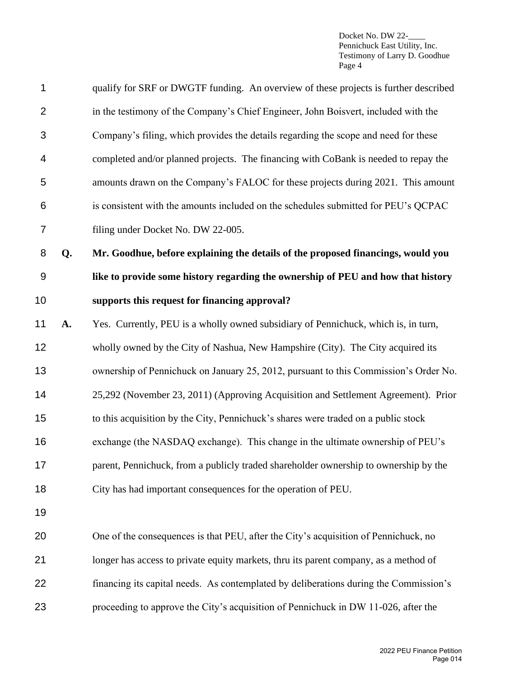| $\mathbf 1$    |    | qualify for SRF or DWGTF funding. An overview of these projects is further described  |
|----------------|----|---------------------------------------------------------------------------------------|
| $\overline{2}$ |    | in the testimony of the Company's Chief Engineer, John Boisvert, included with the    |
| 3              |    | Company's filing, which provides the details regarding the scope and need for these   |
| 4              |    | completed and/or planned projects. The financing with CoBank is needed to repay the   |
| 5              |    | amounts drawn on the Company's FALOC for these projects during 2021. This amount      |
| 6              |    | is consistent with the amounts included on the schedules submitted for PEU's QCPAC    |
| $\overline{7}$ |    | filing under Docket No. DW 22-005.                                                    |
| 8              | Q. | Mr. Goodhue, before explaining the details of the proposed financings, would you      |
| $9$            |    | like to provide some history regarding the ownership of PEU and how that history      |
| 10             |    | supports this request for financing approval?                                         |
| 11             | A. | Yes. Currently, PEU is a wholly owned subsidiary of Pennichuck, which is, in turn,    |
| 12             |    | wholly owned by the City of Nashua, New Hampshire (City). The City acquired its       |
| 13             |    | ownership of Pennichuck on January 25, 2012, pursuant to this Commission's Order No.  |
| 14             |    | 25,292 (November 23, 2011) (Approving Acquisition and Settlement Agreement). Prior    |
| 15             |    | to this acquisition by the City, Pennichuck's shares were traded on a public stock    |
| 16             |    | exchange (the NASDAQ exchange). This change in the ultimate ownership of PEU's        |
| 17             |    | parent, Pennichuck, from a publicly traded shareholder ownership to ownership by the  |
| 18             |    | City has had important consequences for the operation of PEU.                         |
| 19             |    |                                                                                       |
| 20             |    | One of the consequences is that PEU, after the City's acquisition of Pennichuck, no   |
| 21             |    | longer has access to private equity markets, thru its parent company, as a method of  |
| 22             |    | financing its capital needs. As contemplated by deliberations during the Commission's |
| 23             |    | proceeding to approve the City's acquisition of Pennichuck in DW 11-026, after the    |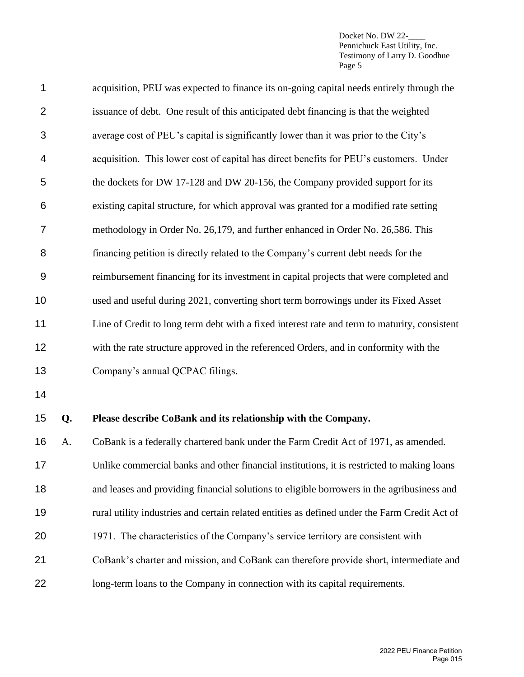| $\mathbf 1$    |    | acquisition, PEU was expected to finance its on-going capital needs entirely through the      |
|----------------|----|-----------------------------------------------------------------------------------------------|
| $\overline{2}$ |    | issuance of debt. One result of this anticipated debt financing is that the weighted          |
| 3              |    | average cost of PEU's capital is significantly lower than it was prior to the City's          |
| 4              |    | acquisition. This lower cost of capital has direct benefits for PEU's customers. Under        |
| 5              |    | the dockets for DW 17-128 and DW 20-156, the Company provided support for its                 |
| 6              |    | existing capital structure, for which approval was granted for a modified rate setting        |
| 7              |    | methodology in Order No. 26,179, and further enhanced in Order No. 26,586. This               |
| 8              |    | financing petition is directly related to the Company's current debt needs for the            |
| 9              |    | reimbursement financing for its investment in capital projects that were completed and        |
| 10             |    | used and useful during 2021, converting short term borrowings under its Fixed Asset           |
| 11             |    | Line of Credit to long term debt with a fixed interest rate and term to maturity, consistent  |
| 12             |    | with the rate structure approved in the referenced Orders, and in conformity with the         |
| 13             |    | Company's annual QCPAC filings.                                                               |
| 14             |    |                                                                                               |
| 15             | Q. | Please describe CoBank and its relationship with the Company.                                 |
| 16             | A. | CoBank is a federally chartered bank under the Farm Credit Act of 1971, as amended.           |
| 17             |    | Unlike commercial banks and other financial institutions, it is restricted to making loans    |
| 18             |    | and leases and providing financial solutions to eligible borrowers in the agribusiness and    |
| 19             |    | rural utility industries and certain related entities as defined under the Farm Credit Act of |
| 20             |    | 1971. The characteristics of the Company's service territory are consistent with              |
| 21             |    | CoBank's charter and mission, and CoBank can therefore provide short, intermediate and        |
| 22             |    | long-term loans to the Company in connection with its capital requirements.                   |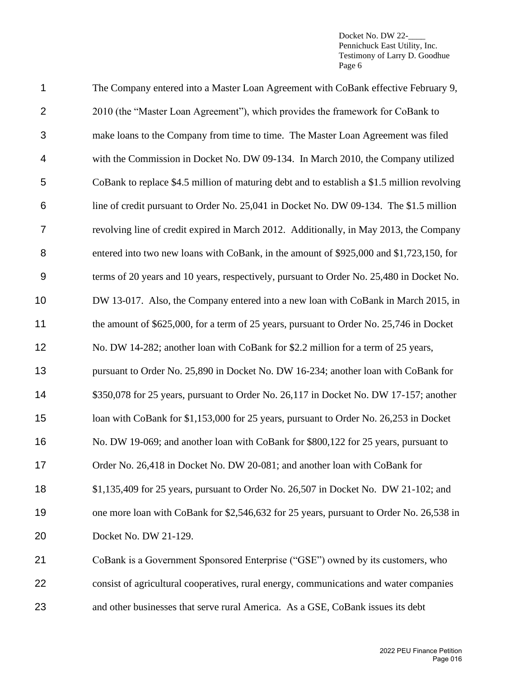| 1                | The Company entered into a Master Loan Agreement with CoBank effective February 9,          |
|------------------|---------------------------------------------------------------------------------------------|
| $\overline{2}$   | 2010 (the "Master Loan Agreement"), which provides the framework for CoBank to              |
| 3                | make loans to the Company from time to time. The Master Loan Agreement was filed            |
| 4                | with the Commission in Docket No. DW 09-134. In March 2010, the Company utilized            |
| 5                | CoBank to replace \$4.5 million of maturing debt and to establish a \$1.5 million revolving |
| 6                | line of credit pursuant to Order No. 25,041 in Docket No. DW 09-134. The \$1.5 million      |
| 7                | revolving line of credit expired in March 2012. Additionally, in May 2013, the Company      |
| 8                | entered into two new loans with CoBank, in the amount of \$925,000 and \$1,723,150, for     |
| $\boldsymbol{9}$ | terms of 20 years and 10 years, respectively, pursuant to Order No. 25,480 in Docket No.    |
| 10               | DW 13-017. Also, the Company entered into a new loan with CoBank in March 2015, in          |
| 11               | the amount of \$625,000, for a term of 25 years, pursuant to Order No. 25,746 in Docket     |
| 12               | No. DW 14-282; another loan with CoBank for \$2.2 million for a term of 25 years,           |
| 13               | pursuant to Order No. 25,890 in Docket No. DW 16-234; another loan with CoBank for          |
| 14               | \$350,078 for 25 years, pursuant to Order No. 26,117 in Docket No. DW 17-157; another       |
| 15               | loan with CoBank for \$1,153,000 for 25 years, pursuant to Order No. 26,253 in Docket       |
| 16               | No. DW 19-069; and another loan with CoBank for \$800,122 for 25 years, pursuant to         |
| 17               | Order No. 26,418 in Docket No. DW 20-081; and another loan with CoBank for                  |
| 18               | \$1,135,409 for 25 years, pursuant to Order No. 26,507 in Docket No. DW 21-102; and         |
| 19               | one more loan with CoBank for \$2,546,632 for 25 years, pursuant to Order No. 26,538 in     |
| 20               | Docket No. DW 21-129.                                                                       |
| 21               | CoBank is a Government Sponsored Enterprise ("GSE") owned by its customers, who             |
| 22               | consist of agricultural cooperatives, rural energy, communications and water companies      |
| 23               | and other businesses that serve rural America. As a GSE, CoBank issues its debt             |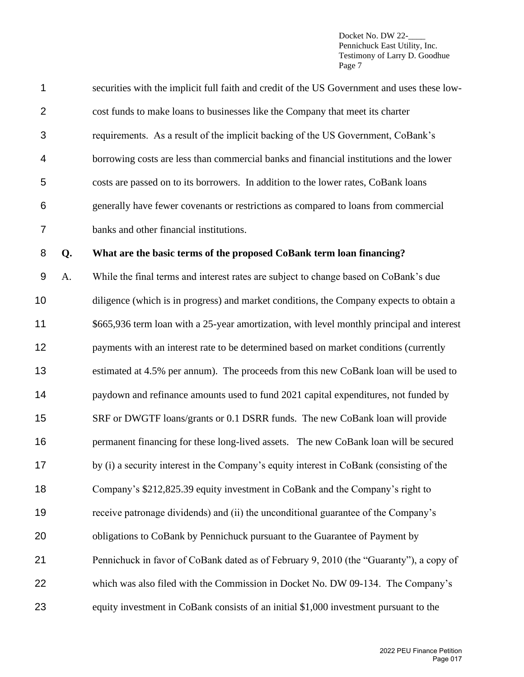| 1              |    | securities with the implicit full faith and credit of the US Government and uses these low- |
|----------------|----|---------------------------------------------------------------------------------------------|
| $\overline{2}$ |    | cost funds to make loans to businesses like the Company that meet its charter               |
| 3              |    | requirements. As a result of the implicit backing of the US Government, CoBank's            |
| 4              |    | borrowing costs are less than commercial banks and financial institutions and the lower     |
| 5              |    | costs are passed on to its borrowers. In addition to the lower rates, CoBank loans          |
| 6              |    | generally have fewer covenants or restrictions as compared to loans from commercial         |
| 7              |    | banks and other financial institutions.                                                     |
| 8              | Q. | What are the basic terms of the proposed CoBank term loan financing?                        |
| 9              | A. | While the final terms and interest rates are subject to change based on CoBank's due        |
| 10             |    | diligence (which is in progress) and market conditions, the Company expects to obtain a     |
| 11             |    | \$665,936 term loan with a 25-year amortization, with level monthly principal and interest  |
| 12             |    | payments with an interest rate to be determined based on market conditions (currently       |
| 13             |    | estimated at 4.5% per annum). The proceeds from this new CoBank loan will be used to        |
| 14             |    | paydown and refinance amounts used to fund 2021 capital expenditures, not funded by         |
| 15             |    | SRF or DWGTF loans/grants or 0.1 DSRR funds. The new CoBank loan will provide               |
| 16             |    | permanent financing for these long-lived assets. The new CoBank loan will be secured        |
| 17             |    | by (i) a security interest in the Company's equity interest in CoBank (consisting of the    |
| 18             |    | Company's \$212,825.39 equity investment in CoBank and the Company's right to               |
| 19             |    | receive patronage dividends) and (ii) the unconditional guarantee of the Company's          |
| 20             |    | obligations to CoBank by Pennichuck pursuant to the Guarantee of Payment by                 |
| 21             |    | Pennichuck in favor of CoBank dated as of February 9, 2010 (the "Guaranty"), a copy of      |
| 22             |    | which was also filed with the Commission in Docket No. DW 09-134. The Company's             |
| 23             |    | equity investment in CoBank consists of an initial \$1,000 investment pursuant to the       |
|                |    |                                                                                             |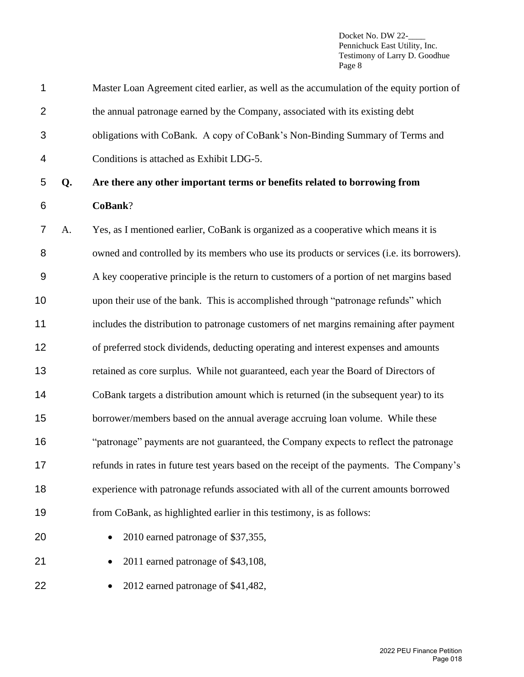| 1              |    | Master Loan Agreement cited earlier, as well as the accumulation of the equity portion of  |
|----------------|----|--------------------------------------------------------------------------------------------|
| $\overline{2}$ |    | the annual patronage earned by the Company, associated with its existing debt              |
| 3              |    | obligations with CoBank. A copy of CoBank's Non-Binding Summary of Terms and               |
| 4              |    | Conditions is attached as Exhibit LDG-5.                                                   |
| 5              | Q. | Are there any other important terms or benefits related to borrowing from                  |
| 6              |    | CoBank?                                                                                    |
| $\overline{7}$ | A. | Yes, as I mentioned earlier, CoBank is organized as a cooperative which means it is        |
| 8              |    | owned and controlled by its members who use its products or services (i.e. its borrowers). |
| 9              |    | A key cooperative principle is the return to customers of a portion of net margins based   |
| 10             |    | upon their use of the bank. This is accomplished through "patronage refunds" which         |
| 11             |    | includes the distribution to patronage customers of net margins remaining after payment    |
| 12             |    | of preferred stock dividends, deducting operating and interest expenses and amounts        |
| 13             |    | retained as core surplus. While not guaranteed, each year the Board of Directors of        |
| 14             |    | CoBank targets a distribution amount which is returned (in the subsequent year) to its     |
| 15             |    | borrower/members based on the annual average accruing loan volume. While these             |
| 16             |    | "patronage" payments are not guaranteed, the Company expects to reflect the patronage      |
| 17             |    | refunds in rates in future test years based on the receipt of the payments. The Company's  |
| 18             |    | experience with patronage refunds associated with all of the current amounts borrowed      |
| 19             |    | from CoBank, as highlighted earlier in this testimony, is as follows:                      |
| 20             |    | 2010 earned patronage of \$37,355,                                                         |
| 21             |    | 2011 earned patronage of \$43,108,                                                         |
| 22             |    | 2012 earned patronage of \$41,482,                                                         |
|                |    |                                                                                            |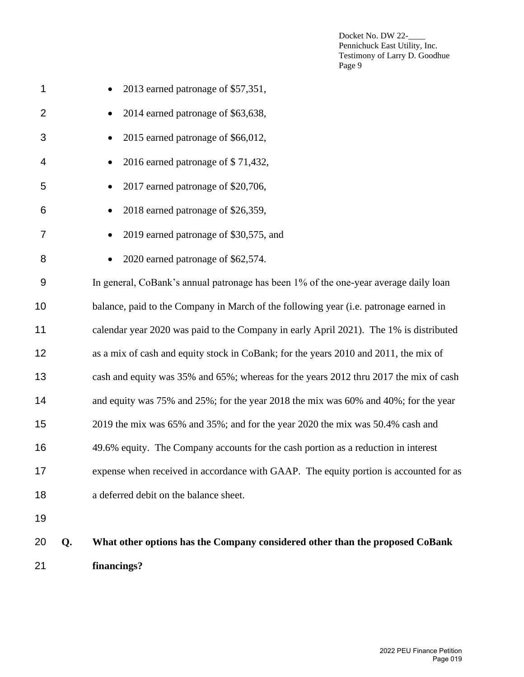| 21             |    | financings?                                                                            |
|----------------|----|----------------------------------------------------------------------------------------|
| 20             | Q. | What other options has the Company considered other than the proposed CoBank           |
| 19             |    |                                                                                        |
| 18             |    | a deferred debit on the balance sheet.                                                 |
| 17             |    | expense when received in accordance with GAAP. The equity portion is accounted for as  |
| 16             |    | 49.6% equity. The Company accounts for the cash portion as a reduction in interest     |
| 15             |    | 2019 the mix was 65% and 35%; and for the year 2020 the mix was 50.4% cash and         |
| 14             |    | and equity was 75% and 25%; for the year 2018 the mix was 60% and 40%; for the year    |
| 13             |    | cash and equity was 35% and 65%; whereas for the years 2012 thru 2017 the mix of cash  |
| 12             |    | as a mix of cash and equity stock in CoBank; for the years 2010 and 2011, the mix of   |
| 11             |    | calendar year 2020 was paid to the Company in early April 2021). The 1% is distributed |
| 10             |    | balance, paid to the Company in March of the following year (i.e. patronage earned in  |
| $9\,$          |    | In general, CoBank's annual patronage has been 1% of the one-year average daily loan   |
| 8              |    | 2020 earned patronage of \$62,574.                                                     |
| 7              |    | 2019 earned patronage of \$30,575, and                                                 |
| 6              |    | 2018 earned patronage of \$26,359,                                                     |
| 5              |    | 2017 earned patronage of \$20,706,                                                     |
| 4              |    | 2016 earned patronage of \$71,432,                                                     |
| 3              |    | 2015 earned patronage of \$66,012,                                                     |
| $\overline{2}$ |    | 2014 earned patronage of \$63,638,<br>$\bullet$                                        |
| 1              |    | 2013 earned patronage of \$57,351,                                                     |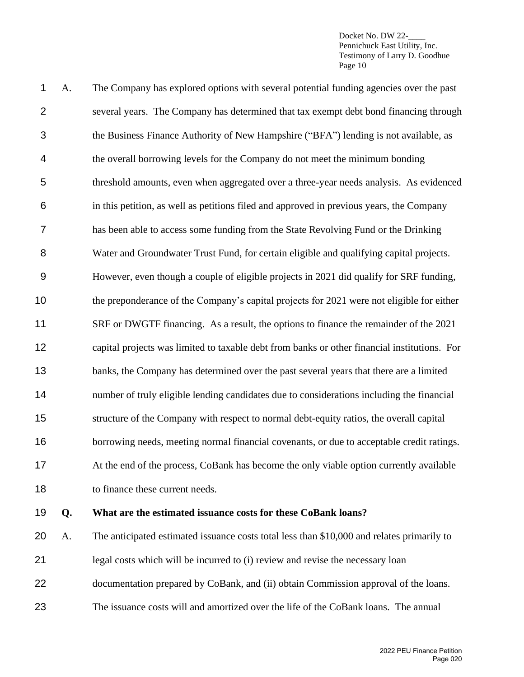| $\mathbf 1$    | A. | The Company has explored options with several potential funding agencies over the past       |
|----------------|----|----------------------------------------------------------------------------------------------|
| $\overline{2}$ |    | several years. The Company has determined that tax exempt debt bond financing through        |
| 3              |    | the Business Finance Authority of New Hampshire ("BFA") lending is not available, as         |
| 4              |    | the overall borrowing levels for the Company do not meet the minimum bonding                 |
| 5              |    | threshold amounts, even when aggregated over a three-year needs analysis. As evidenced       |
| 6              |    | in this petition, as well as petitions filed and approved in previous years, the Company     |
| $\overline{7}$ |    | has been able to access some funding from the State Revolving Fund or the Drinking           |
| 8              |    | Water and Groundwater Trust Fund, for certain eligible and qualifying capital projects.      |
| 9              |    | However, even though a couple of eligible projects in 2021 did qualify for SRF funding,      |
| 10             |    | the preponderance of the Company's capital projects for 2021 were not eligible for either    |
| 11             |    | SRF or DWGTF financing. As a result, the options to finance the remainder of the 2021        |
| 12             |    | capital projects was limited to taxable debt from banks or other financial institutions. For |
| 13             |    | banks, the Company has determined over the past several years that there are a limited       |
| 14             |    | number of truly eligible lending candidates due to considerations including the financial    |
| 15             |    | structure of the Company with respect to normal debt-equity ratios, the overall capital      |
| 16             |    | borrowing needs, meeting normal financial covenants, or due to acceptable credit ratings.    |
| 17             |    | At the end of the process, CoBank has become the only viable option currently available      |
| 18             |    | to finance these current needs.                                                              |
| 19             | Q. | What are the estimated issuance costs for these CoBank loans?                                |
| nn.            |    |                                                                                              |

 A. The anticipated estimated issuance costs total less than \$10,000 and relates primarily to legal costs which will be incurred to (i) review and revise the necessary loan documentation prepared by CoBank, and (ii) obtain Commission approval of the loans. The issuance costs will and amortized over the life of the CoBank loans. The annual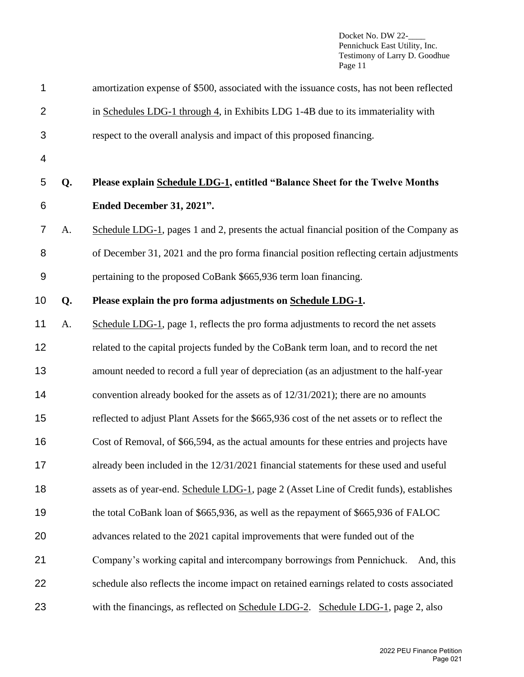| 1                |    | amortization expense of \$500, associated with the issuance costs, has not been reflected   |
|------------------|----|---------------------------------------------------------------------------------------------|
| $\overline{2}$   |    | in Schedules LDG-1 through 4, in Exhibits LDG 1-4B due to its immateriality with            |
| 3                |    | respect to the overall analysis and impact of this proposed financing.                      |
| 4                |    |                                                                                             |
| 5                | Q. | Please explain Schedule LDG-1, entitled "Balance Sheet for the Twelve Months"               |
| 6                |    | Ended December 31, 2021".                                                                   |
| $\overline{7}$   | A. | Schedule LDG-1, pages 1 and 2, presents the actual financial position of the Company as     |
| 8                |    | of December 31, 2021 and the pro forma financial position reflecting certain adjustments    |
| $\boldsymbol{9}$ |    | pertaining to the proposed CoBank \$665,936 term loan financing.                            |
| 10               | Q. | Please explain the pro forma adjustments on Schedule LDG-1.                                 |
| 11               | A. | Schedule LDG-1, page 1, reflects the pro forma adjustments to record the net assets         |
| 12               |    | related to the capital projects funded by the CoBank term loan, and to record the net       |
| 13               |    | amount needed to record a full year of depreciation (as an adjustment to the half-year      |
| 14               |    | convention already booked for the assets as of $12/31/2021$ ; there are no amounts          |
| 15               |    | reflected to adjust Plant Assets for the \$665,936 cost of the net assets or to reflect the |
| 16               |    | Cost of Removal, of \$66,594, as the actual amounts for these entries and projects have     |
| 17               |    | already been included in the 12/31/2021 financial statements for these used and useful      |
| 18               |    | assets as of year-end. Schedule LDG-1, page 2 (Asset Line of Credit funds), establishes     |
| 19               |    | the total CoBank loan of \$665,936, as well as the repayment of \$665,936 of FALOC          |
| 20               |    | advances related to the 2021 capital improvements that were funded out of the               |
| 21               |    | Company's working capital and intercompany borrowings from Pennichuck.<br>And, this         |
| 22               |    | schedule also reflects the income impact on retained earnings related to costs associated   |
| 23               |    | with the financings, as reflected on Schedule LDG-2. Schedule LDG-1, page 2, also           |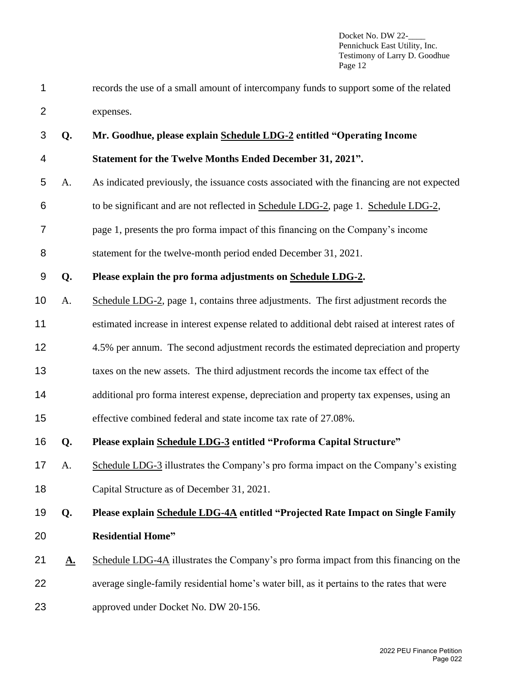- records the use of a small amount of intercompany funds to support some of the related expenses.
- **Q. Mr. Goodhue, please explain Schedule LDG-2 entitled "Operating Income Statement for the Twelve Months Ended December 31, 2021".**  A. As indicated previously, the issuance costs associated with the financing are not expected to be significant and are not reflected in Schedule LDG-2, page 1. Schedule LDG-2, page 1, presents the pro forma impact of this financing on the Company's income statement for the twelve-month period ended December 31, 2021. **Q. Please explain the pro forma adjustments on Schedule LDG-2.** A. Schedule LDG-2, page 1, contains three adjustments. The first adjustment records the estimated increase in interest expense related to additional debt raised at interest rates of 4.5% per annum. The second adjustment records the estimated depreciation and property taxes on the new assets. The third adjustment records the income tax effect of the additional pro forma interest expense, depreciation and property tax expenses, using an effective combined federal and state income tax rate of 27.08%. **Q. Please explain Schedule LDG-3 entitled "Proforma Capital Structure"** A. Schedule LDG-3 illustrates the Company's pro forma impact on the Company's existing Capital Structure as of December 31, 2021. **Q. Please explain Schedule LDG-4A entitled "Projected Rate Impact on Single Family Residential Home" A.** Schedule LDG-4A illustrates the Company's pro forma impact from this financing on the average single-family residential home's water bill, as it pertains to the rates that were
- approved under Docket No. DW 20-156.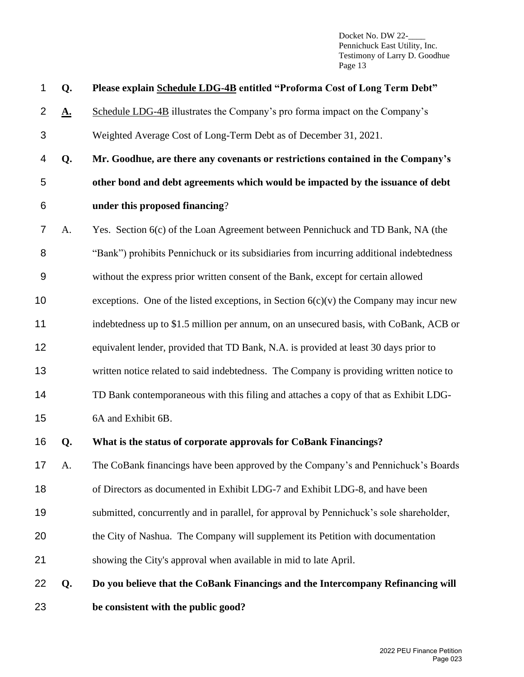| 1               | Q.        | Please explain Schedule LDG-4B entitled "Proforma Cost of Long Term Debt"                |
|-----------------|-----------|------------------------------------------------------------------------------------------|
| $\overline{2}$  | <u>A.</u> | Schedule LDG-4B illustrates the Company's pro forma impact on the Company's              |
| 3               |           | Weighted Average Cost of Long-Term Debt as of December 31, 2021.                         |
| 4               | Q.        | Mr. Goodhue, are there any covenants or restrictions contained in the Company's          |
| 5               |           | other bond and debt agreements which would be impacted by the issuance of debt           |
| 6               |           | under this proposed financing?                                                           |
| 7               | A.        | Yes. Section 6(c) of the Loan Agreement between Pennichuck and TD Bank, NA (the          |
| 8               |           | "Bank") prohibits Pennichuck or its subsidiaries from incurring additional indebtedness  |
| 9               |           | without the express prior written consent of the Bank, except for certain allowed        |
| 10              |           | exceptions. One of the listed exceptions, in Section $6(c)(v)$ the Company may incur new |
| 11              |           | indebtedness up to \$1.5 million per annum, on an unsecured basis, with CoBank, ACB or   |
| 12              |           | equivalent lender, provided that TD Bank, N.A. is provided at least 30 days prior to     |
| 13              |           | written notice related to said indebtedness. The Company is providing written notice to  |
| 14              |           | TD Bank contemporaneous with this filing and attaches a copy of that as Exhibit LDG-     |
| 15              |           | 6A and Exhibit 6B.                                                                       |
| 16              | Q.        | What is the status of corporate approvals for CoBank Financings?                         |
| 17 <sub>1</sub> | A.        | The CoBank financings have been approved by the Company's and Pennichuck's Boards        |
| 18              |           | of Directors as documented in Exhibit LDG-7 and Exhibit LDG-8, and have been             |
| 19              |           | submitted, concurrently and in parallel, for approval by Pennichuck's sole shareholder,  |
| 20              |           | the City of Nashua. The Company will supplement its Petition with documentation          |
| 21              |           | showing the City's approval when available in mid to late April.                         |
| 22              | Q.        | Do you believe that the CoBank Financings and the Intercompany Refinancing will          |
| 23              |           | be consistent with the public good?                                                      |